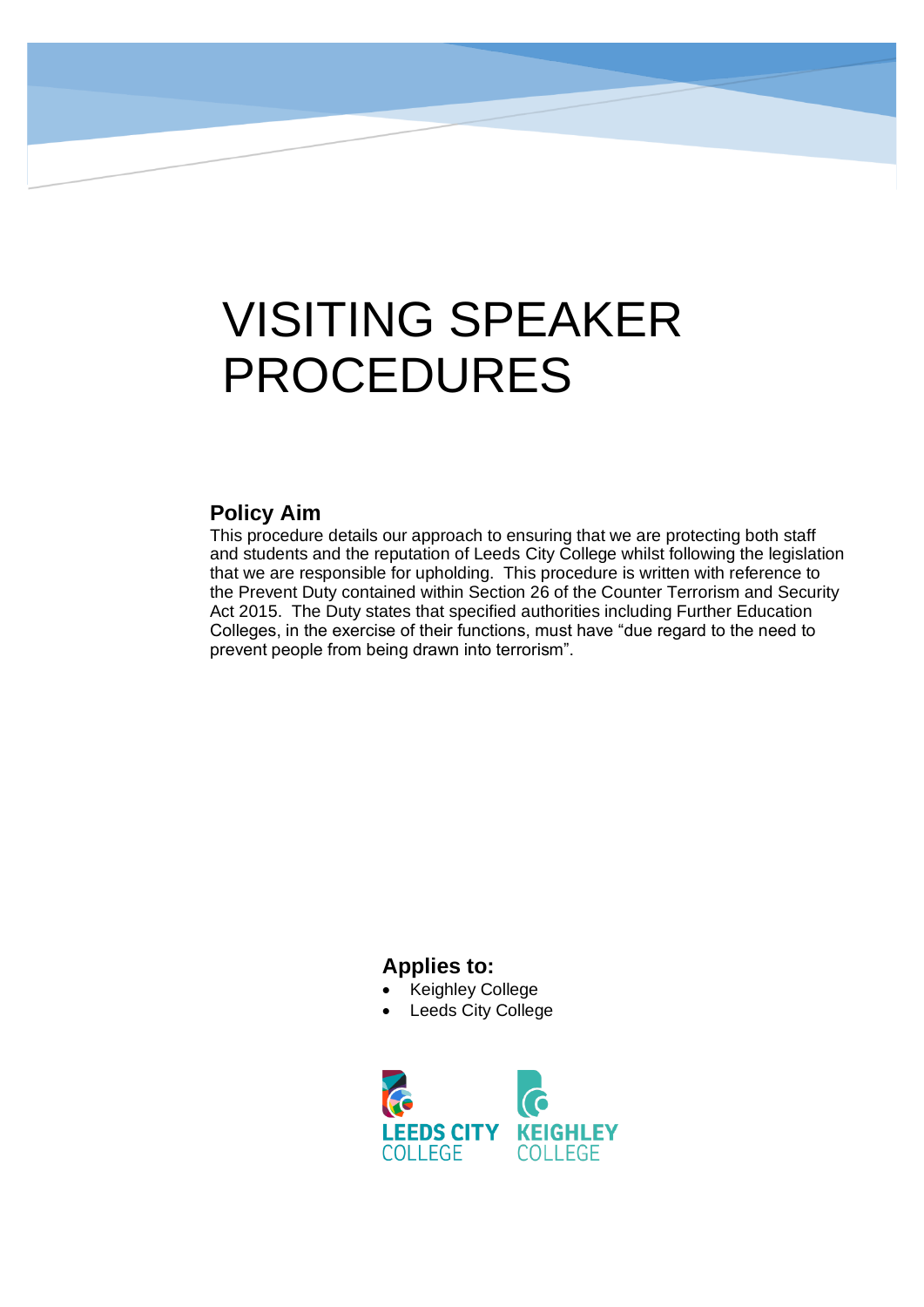# VISITING SPEAKER PROCEDURES

#### **Policy Aim**

This procedure details our approach to ensuring that we are protecting both staff and students and the reputation of Leeds City College whilst following the legislation that we are responsible for upholding. This procedure is written with reference to the Prevent Duty contained within Section 26 of the Counter Terrorism and Security Act 2015. The Duty states that specified authorities including Further Education Colleges, in the exercise of their functions, must have "due regard to the need to prevent people from being drawn into terrorism".

#### **Applies to:**

- Keighley College
- **Leeds City College**

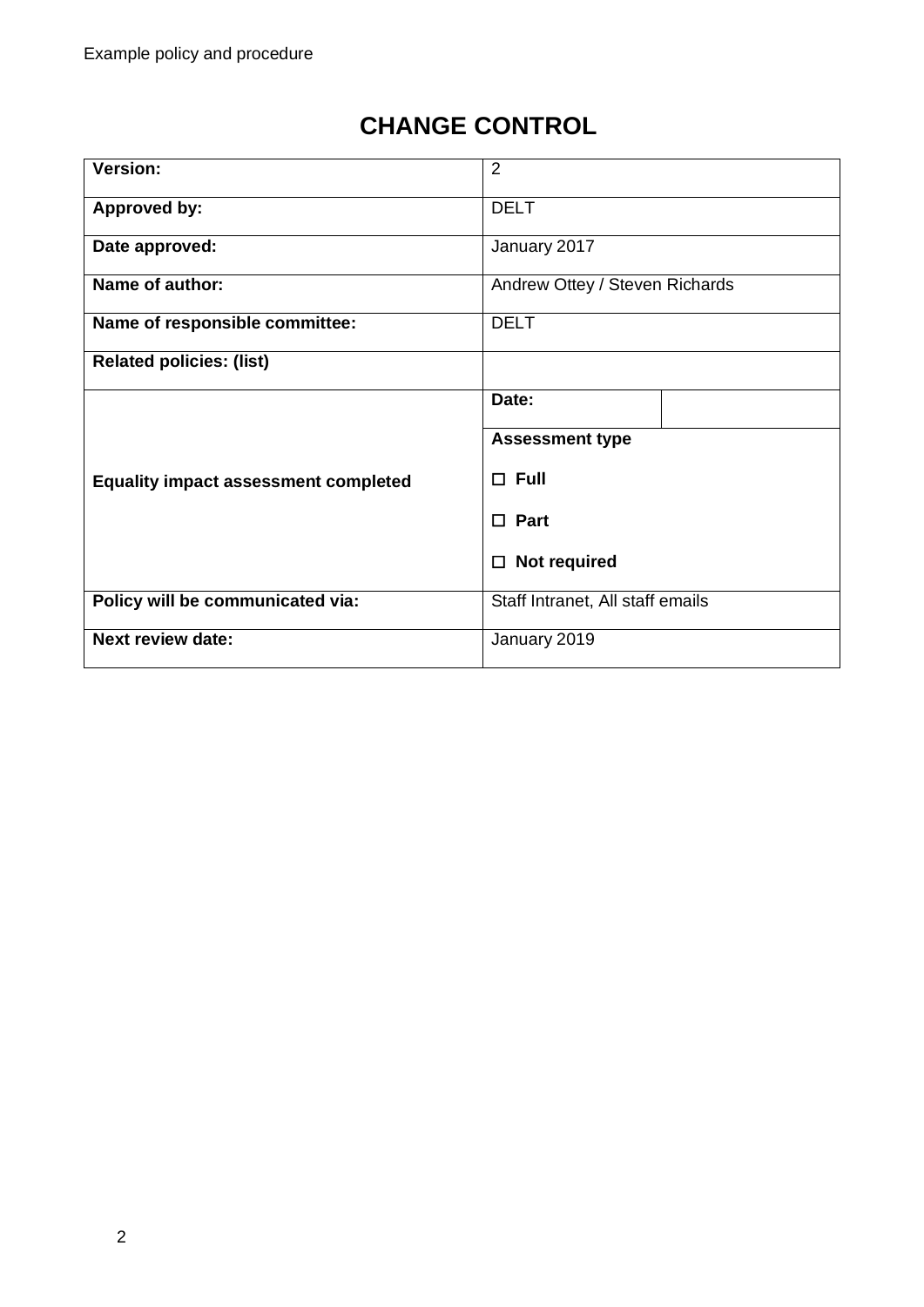# **CHANGE CONTROL**

| <b>Version:</b>                             | 2                                |  |
|---------------------------------------------|----------------------------------|--|
| <b>Approved by:</b>                         | <b>DELT</b>                      |  |
| Date approved:                              | January 2017                     |  |
| Name of author:                             | Andrew Ottey / Steven Richards   |  |
| Name of responsible committee:              | <b>DELT</b>                      |  |
| <b>Related policies: (list)</b>             |                                  |  |
|                                             | Date:                            |  |
|                                             | <b>Assessment type</b>           |  |
| <b>Equality impact assessment completed</b> | $\Box$ Full                      |  |
|                                             | $\Box$ Part                      |  |
|                                             | Not required<br>□                |  |
| Policy will be communicated via:            | Staff Intranet, All staff emails |  |
| <b>Next review date:</b>                    | January 2019                     |  |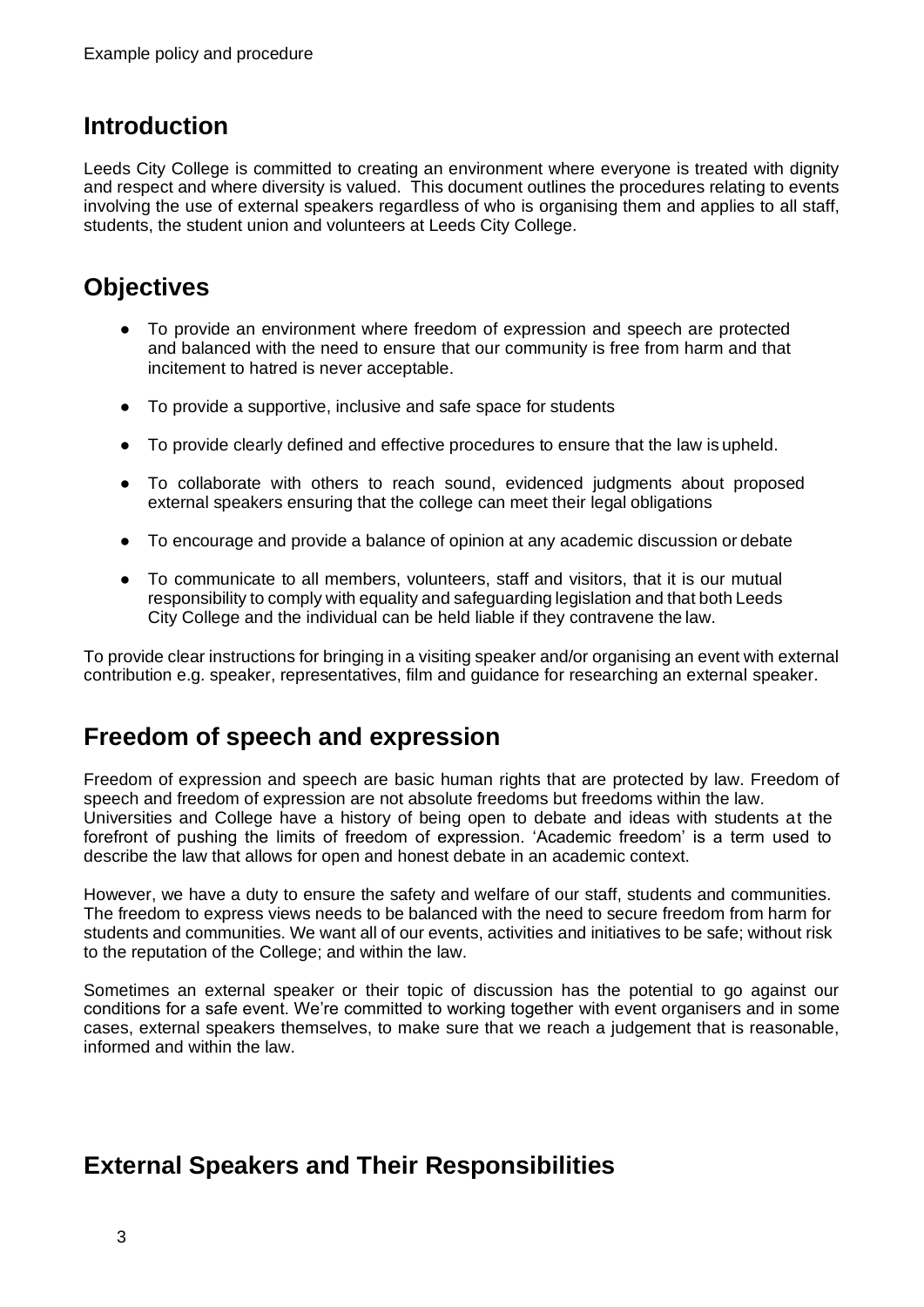## **Introduction**

Leeds City College is committed to creating an environment where everyone is treated with dignity and respect and where diversity is valued. This document outlines the procedures relating to events involving the use of external speakers regardless of who is organising them and applies to all staff, students, the student union and volunteers at Leeds City College.

## **Objectives**

- To provide an environment where freedom of expression and speech are protected and balanced with the need to ensure that our community is free from harm and that incitement to hatred is never acceptable.
- To provide a supportive, inclusive and safe space for students
- To provide clearly defined and effective procedures to ensure that the law is upheld.
- To collaborate with others to reach sound, evidenced judgments about proposed external speakers ensuring that the college can meet their legal obligations
- To encourage and provide a balance of opinion at any academic discussion or debate
- To communicate to all members, volunteers, staff and visitors, that it is our mutual responsibility to comply with equality and safeguarding legislation and that both Leeds City College and the individual can be held liable if they contravene the law.

To provide clear instructions for bringing in a visiting speaker and/or organising an event with external contribution e.g. speaker, representatives, film and guidance for researching an external speaker.

## **Freedom of speech and expression**

Freedom of expression and speech are basic human rights that are protected by law. Freedom of speech and freedom of expression are not absolute freedoms but freedoms within the law. Universities and College have a history of being open to debate and ideas with students at the forefront of pushing the limits of freedom of expression. 'Academic freedom' is a term used to describe the law that allows for open and honest debate in an academic context.

However, we have a duty to ensure the safety and welfare of our staff, students and communities. The freedom to express views needs to be balanced with the need to secure freedom from harm for students and communities. We want all of our events, activities and initiatives to be safe; without risk to the reputation of the College; and within the law.

Sometimes an external speaker or their topic of discussion has the potential to go against our conditions for a safe event. We're committed to working together with event organisers and in some cases, external speakers themselves, to make sure that we reach a judgement that is reasonable, informed and within the law.

## **External Speakers and Their Responsibilities**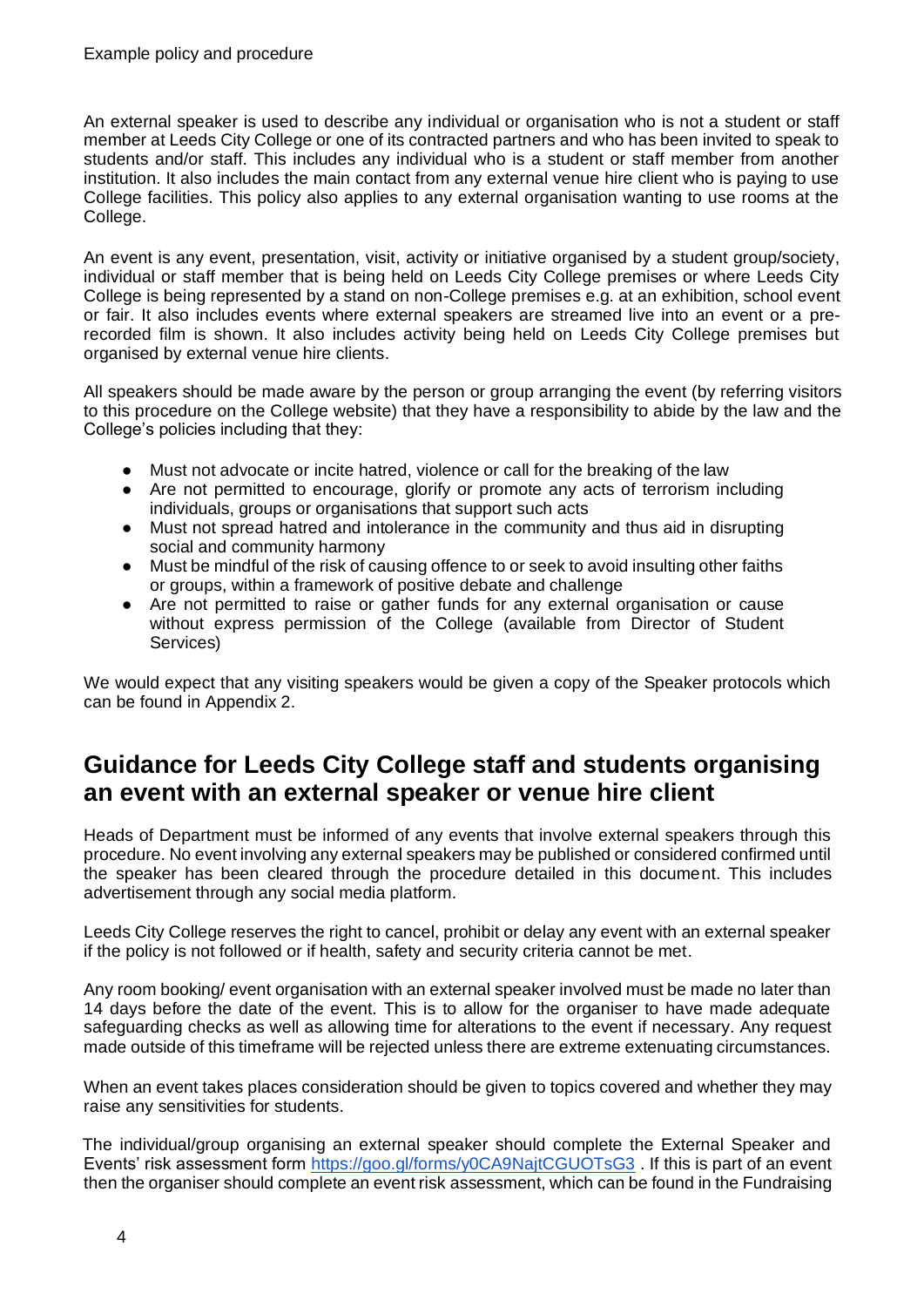An external speaker is used to describe any individual or organisation who is not a student or staff member at Leeds City College or one of its contracted partners and who has been invited to speak to students and/or staff. This includes any individual who is a student or staff member from another institution. It also includes the main contact from any external venue hire client who is paying to use College facilities. This policy also applies to any external organisation wanting to use rooms at the College.

An event is any event, presentation, visit, activity or initiative organised by a student group/society, individual or staff member that is being held on Leeds City College premises or where Leeds City College is being represented by a stand on non-College premises e.g. at an exhibition, school event or fair. It also includes events where external speakers are streamed live into an event or a prerecorded film is shown. It also includes activity being held on Leeds City College premises but organised by external venue hire clients.

All speakers should be made aware by the person or group arranging the event (by referring visitors to this procedure on the College website) that they have a responsibility to abide by the law and the College's policies including that they:

- Must not advocate or incite hatred, violence or call for the breaking of the law
- Are not permitted to encourage, glorify or promote any acts of terrorism including individuals, groups or organisations that support such acts
- Must not spread hatred and intolerance in the community and thus aid in disrupting social and community harmony
- Must be mindful of the risk of causing offence to or seek to avoid insulting other faiths or groups, within a framework of positive debate and challenge
- Are not permitted to raise or gather funds for any external organisation or cause without express permission of the College (available from Director of Student Services)

We would expect that any visiting speakers would be given a copy of the Speaker protocols which can be found in Appendix 2.

## **Guidance for Leeds City College staff and students organising an event with an external speaker or venue hire client**

Heads of Department must be informed of any events that involve external speakers through this procedure. No event involving any external speakers may be published or considered confirmed until the speaker has been cleared through the procedure detailed in this document. This includes advertisement through any social media platform.

Leeds City College reserves the right to cancel, prohibit or delay any event with an external speaker if the policy is not followed or if health, safety and security criteria cannot be met.

Any room booking/ event organisation with an external speaker involved must be made no later than 14 days before the date of the event. This is to allow for the organiser to have made adequate safeguarding checks as well as allowing time for alterations to the event if necessary. Any request made outside of this timeframe will be rejected unless there are extreme extenuating circumstances.

When an event takes places consideration should be given to topics covered and whether they may raise any sensitivities for students.

The individual/group organising an external speaker should complete the External Speaker and Events' risk assessment form<https://goo.gl/forms/y0CA9NajtCGUOTsG3> . If this is part of an event then the organiser should complete an event risk assessment, which can be found in the Fundraising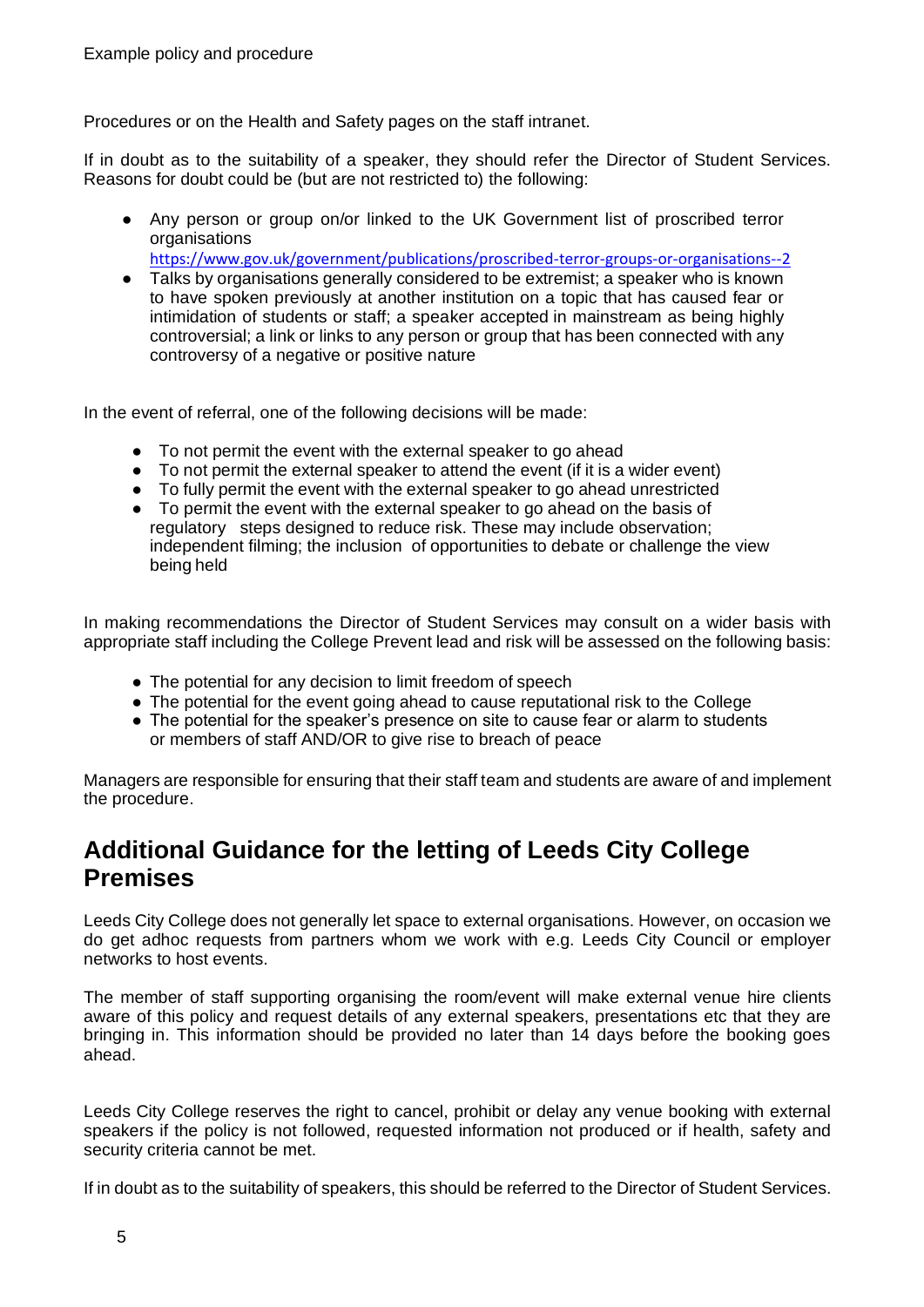Procedures or on the Health and Safety pages on the staff intranet.

If in doubt as to the suitability of a speaker, they should refer the Director of Student Services. Reasons for doubt could be (but are not restricted to) the following:

● Any person or group on/or linked to the UK Government list of proscribed terror organisations

<https://www.gov.uk/government/publications/proscribed-terror-groups-or-organisations--2>

● Talks by organisations generally considered to be extremist; a speaker who is known to have spoken previously at another institution on a topic that has caused fear or intimidation of students or staff; a speaker accepted in mainstream as being highly controversial; a link or links to any person or group that has been connected with any controversy of a negative or positive nature

In the event of referral, one of the following decisions will be made:

- To not permit the event with the external speaker to go ahead<br>• To not permit the external speaker to attend the event (if it is a
- To not permit the external speaker to attend the event (if it is a wider event)
- To fully permit the event with the external speaker to go ahead unrestricted
- To permit the event with the external speaker to go ahead on the basis of regulatory steps designed to reduce risk. These may include observation; independent filming; the inclusion of opportunities to debate or challenge the view being held

In making recommendations the Director of Student Services may consult on a wider basis with appropriate staff including the College Prevent lead and risk will be assessed on the following basis:

- The potential for any decision to limit freedom of speech
- The potential for the event going ahead to cause reputational risk to the College
- The potential for the speaker's presence on site to cause fear or alarm to students or members of staff AND/OR to give rise to breach of peace

Managers are responsible for ensuring that their staff team and students are aware of and implement the procedure.

## **Additional Guidance for the letting of Leeds City College Premises**

Leeds City College does not generally let space to external organisations. However, on occasion we do get adhoc requests from partners whom we work with e.g. Leeds City Council or employer networks to host events.

The member of staff supporting organising the room/event will make external venue hire clients aware of this policy and request details of any external speakers, presentations etc that they are bringing in. This information should be provided no later than 14 days before the booking goes ahead.

Leeds City College reserves the right to cancel, prohibit or delay any venue booking with external speakers if the policy is not followed, requested information not produced or if health, safety and security criteria cannot be met.

If in doubt as to the suitability of speakers, this should be referred to the Director of Student Services.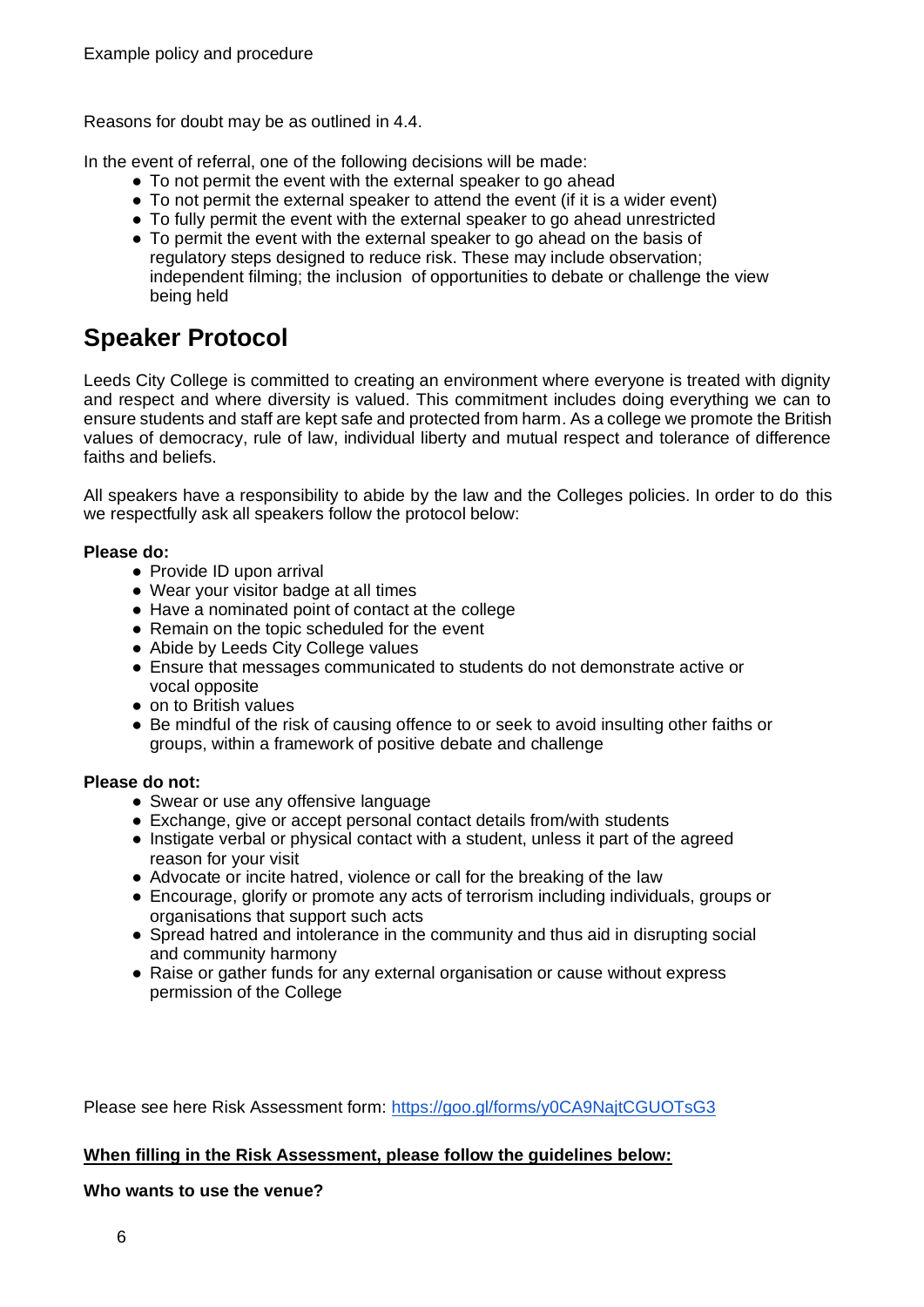Reasons for doubt may be as outlined in 4.4.

In the event of referral, one of the following decisions will be made:

- To not permit the event with the external speaker to go ahead
- To not permit the external speaker to attend the event (if it is a wider event)
- To fully permit the event with the external speaker to go ahead unrestricted
- To permit the event with the external speaker to go ahead on the basis of regulatory steps designed to reduce risk. These may include observation; independent filming; the inclusion of opportunities to debate or challenge the view being held

## **Speaker Protocol**

Leeds City College is committed to creating an environment where everyone is treated with dignity and respect and where diversity is valued. This commitment includes doing everything we can to ensure students and staff are kept safe and protected from harm. As a college we promote the British values of democracy, rule of law, individual liberty and mutual respect and tolerance of difference faiths and beliefs.

All speakers have a responsibility to abide by the law and the Colleges policies. In order to do this we respectfully ask all speakers follow the protocol below:

#### **Please do:**

- Provide ID upon arrival
- Wear your visitor badge at all times
- Have a nominated point of contact at the college
- Remain on the topic scheduled for the event
- Abide by Leeds City College values
- Ensure that messages communicated to students do not demonstrate active or vocal opposite
- on to British values
- Be mindful of the risk of causing offence to or seek to avoid insulting other faiths or groups, within a framework of positive debate and challenge

#### **Please do not:**

- Swear or use any offensive language
- Exchange, give or accept personal contact details from/with students
- Instigate verbal or physical contact with a student, unless it part of the agreed reason for your visit
- Advocate or incite hatred, violence or call for the breaking of the law
- Encourage, glorify or promote any acts of terrorism including individuals, groups or organisations that support such acts
- Spread hatred and intolerance in the community and thus aid in disrupting social and community harmony
- Raise or gather funds for any external organisation or cause without express permission of the College

Please see here Risk Assessment form:<https://goo.gl/forms/y0CA9NajtCGUOTsG3>

#### **When filling in the Risk Assessment, please follow the guidelines below:**

#### **Who wants to use the venue?**